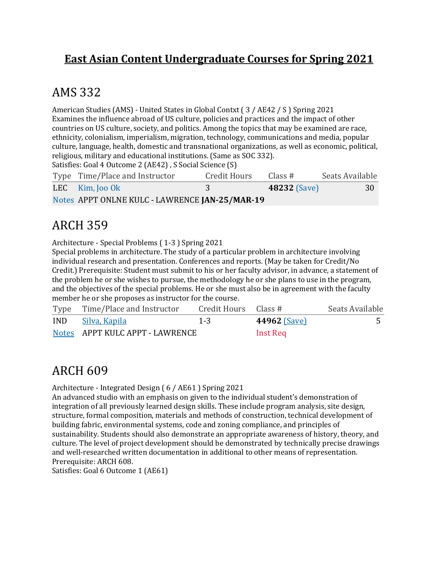#### **East Asian Content Undergraduate Courses for Spring 2021**

#### AMS 332

American Studies (AMS) - United States in Global Contxt (3 / AE42 / S) Spring 2021 Examines the influence abroad of US culture, policies and practices and the impact of other countries on US culture, society, and politics. Among the topics that may be examined are race, ethnicity, colonialism, imperialism, migration, technology, communications and media, popular culture, language, health, domestic and transnational organizations, as well as economic, political, religious, military and educational institutions. (Same as SOC 332).

Satisfies: Goal 4 Outcome 2 (AE42), S Social Science (S)

| Type Time/Place and Instructor                 | Credit Hours | Class #             | Seats Available |
|------------------------------------------------|--------------|---------------------|-----------------|
| LEC $\,$ Kim, $\,$ [00 Ok                      |              | <b>48232 (Save)</b> | 30              |
| Notes APPT ONLNE KULC - LAWRENCE JAN-25/MAR-19 |              |                     |                 |

#### **ARCH 359**

Architecture - Special Problems (1-3) Spring 2021

Special problems in architecture. The study of a particular problem in architecture involving individual research and presentation. Conferences and reports. (May be taken for Credit/No Credit.) Prerequisite: Student must submit to his or her faculty advisor, in advance, a statement of the problem he or she wishes to pursue, the methodology he or she plans to use in the program, and the objectives of the special problems. He or she must also be in agreement with the faculty member he or she proposes as instructor for the course.

| Type Time/Place and Instructor  | Credit Hours Class # |                     | Seats Available |
|---------------------------------|----------------------|---------------------|-----------------|
| IND Silva, Kapila               | $1 - 3$              | <b>44962 (Save)</b> |                 |
| Notes APPT KULC APPT - LAWRENCE |                      | Inst Req            |                 |

### **ARCH 609**

Architecture - Integrated Design (6 / AE61 ) Spring 2021

An advanced studio with an emphasis on given to the individual student's demonstration of integration of all previously learned design skills. These include program analysis, site design, structure, formal composition, materials and methods of construction, technical development of building fabric, environmental systems, code and zoning compliance, and principles of sustainability. Students should also demonstrate an appropriate awareness of history, theory, and culture. The level of project development should be demonstrated by technically precise drawings and well-researched written documentation in additional to other means of representation. Prerequisite: ARCH 608.

Satisfies: Goal 6 Outcome 1 (AE61)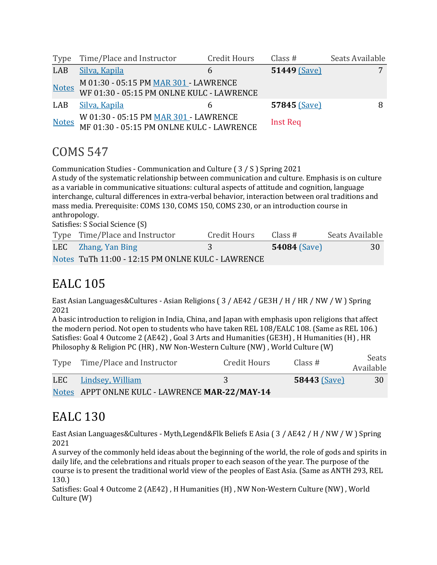|              | Type Time/Place and Instructor                                                           | Credit Hours | Class $#$       | Seats Available |
|--------------|------------------------------------------------------------------------------------------|--------------|-----------------|-----------------|
| LAB          | Silva, Kapila                                                                            |              | 51449 (Save)    |                 |
| <b>Notes</b> | M 01:30 - 05:15 PM MAR 301 - LAWRENCE<br>WF 01:30 - 05:15 PM ONLNE KULC - LAWRENCE       |              |                 |                 |
| LAB          | Silva, Kapila                                                                            |              | 57845 (Save)    |                 |
|              | Motes W 01:30 - 05:15 PM MAR 301 - LAWRENCE<br>MF 01:30 - 05:15 PM ONLNE KULC - LAWRENCE |              | <b>Inst Req</b> |                 |

### COMS 547

Communication Studies - Communication and Culture (3 / S ) Spring 2021 A study of the systematic relationship between communication and culture. Emphasis is on culture as a variable in communicative situations: cultural aspects of attitude and cognition, language interchange, cultural differences in extra-verbal behavior, interaction between oral traditions and mass media. Prerequisite: COMS 130, COMS 150, COMS 230, or an introduction course in anthropology. Satisfies: S Social Science (S)

| Type Time/Place and Instructor                    | Credit Hours | Class#              | Seats Available |
|---------------------------------------------------|--------------|---------------------|-----------------|
| LEC Zhang, Yan Bing                               |              | <b>54084</b> (Save) | 30              |
| Notes TuTh 11:00 - 12:15 PM ONLNE KULC - LAWRENCE |              |                     |                 |

## **EALC** 105

East Asian Languages&Cultures - Asian Religions (3 / AE42 / GE3H / H / HR / NW / W ) Spring 2021

A basic introduction to religion in India, China, and Japan with emphasis upon religions that affect the modern period. Not open to students who have taken REL 108/EALC 108. (Same as REL 106.) Satisfies: Goal 4 Outcome 2 (AE42), Goal 3 Arts and Humanities (GE3H), H Humanities (H), HR Philosophy & Religion PC (HR), NW Non-Western Culture (NW), World Culture (W)

| Type Time/Place and Instructor                 | Credit Hours | Class $#$           | Seats<br>Available |
|------------------------------------------------|--------------|---------------------|--------------------|
| LEC Lindsey, William                           |              | <b>58443 (Save)</b> | 30                 |
| Notes APPT ONLNE KULC - LAWRENCE MAR-22/MAY-14 |              |                     |                    |

## EALC 130

East Asian Languages&Cultures - Myth,Legend&Flk Beliefs E Asia (3 / AE42 / H / NW / W ) Spring 2021

A survey of the commonly held ideas about the beginning of the world, the role of gods and spirits in daily life, and the celebrations and rituals proper to each season of the year. The purpose of the course is to present the traditional world view of the peoples of East Asia. (Same as ANTH 293, REL 130.)

Satisfies: Goal 4 Outcome 2 (AE42), H Humanities (H), NW Non-Western Culture (NW), World Culture (W)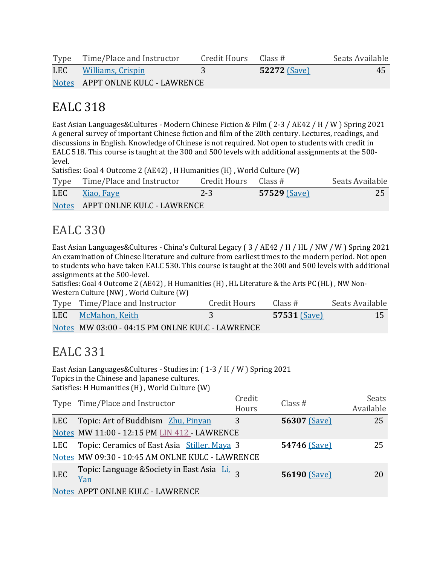|     | Type Time/Place and Instructor   | Credit Hours Class # |                     | Seats Available |
|-----|----------------------------------|----------------------|---------------------|-----------------|
| LEC | Williams, Crispin                |                      | <b>52272 (Save)</b> | 45              |
|     | Notes APPT ONLNE KULC - LAWRENCE |                      |                     |                 |

East Asian Languages&Cultures - Modern Chinese Fiction & Film ( $2-3$  / AE42 / H / W ) Spring 2021 A general survey of important Chinese fiction and film of the 20th century. Lectures, readings, and discussions in English. Knowledge of Chinese is not required. Not open to students with credit in EALC 518. This course is taught at the 300 and 500 levels with additional assignments at the 500level.

Satisfies: Goal 4 Outcome 2 (AE42), H Humanities (H), World Culture (W)

| Type Time/Place and Instructor   | Credit Hours Class # |                | Seats Available |
|----------------------------------|----------------------|----------------|-----------------|
| LEC Xiao, Faye                   | $2 - 3$              | $57529$ (Save) | 25              |
| Notes APPT ONLNE KULC - LAWRENCE |                      |                |                 |

#### EALC 330

East Asian Languages&Cultures - China's Cultural Legacy (3 / AE42 / H / HL / NW / W ) Spring 2021 An examination of Chinese literature and culture from earliest times to the modern period. Not open to students who have taken EALC 530. This course is taught at the 300 and 500 levels with additional assignments at the 500-level.

Satisfies: Goal 4 Outcome 2 (AE42), H Humanities (H), HL Literature & the Arts PC (HL), NW Non-Western Culture (NW), World Culture (W)

| Type Time/Place and Instructor                  | Credit Hours | Class #             | Seats Available |
|-------------------------------------------------|--------------|---------------------|-----------------|
| LEC McMahon, Keith                              |              | <b>57531 (Save)</b> | 15              |
| Notes MW 03:00 - 04:15 PM ONLNE KULC - LAWRENCE |              |                     |                 |

### EALC 331

East Asian Languages&Cultures - Studies in:  $(1-3/H/W)$  Spring 2021 Topics in the Chinese and Japanese cultures. Satisfies: H Humanities (H), World Culture (W)

|            | Type Time/Place and Instructor                                                      | Credit<br>Hours | Class $#$    | <b>Seats</b><br>Available |
|------------|-------------------------------------------------------------------------------------|-----------------|--------------|---------------------------|
| <b>LEC</b> | Topic: Art of Buddhism Zhu, Pinyan                                                  | 3               | 56307 (Save) | 25                        |
|            | Notes MW 11:00 - 12:15 PM LIN 412 - LAWRENCE                                        |                 |              |                           |
| LEC        | Topic: Ceramics of East Asia Stiller, Maya 3                                        |                 | 54746 (Save) | 25                        |
|            | Notes MW 09:30 - 10:45 AM ONLNE KULC - LAWRENCE                                     |                 |              |                           |
| <b>LEC</b> | Topic: Language & Society in East Asia $\overline{\text{Li}}_1$ <sub>3</sub><br>Yan |                 | 56190 (Save) | 20                        |
|            | Notes APPT ONLNE KULC - LAWRENCE                                                    |                 |              |                           |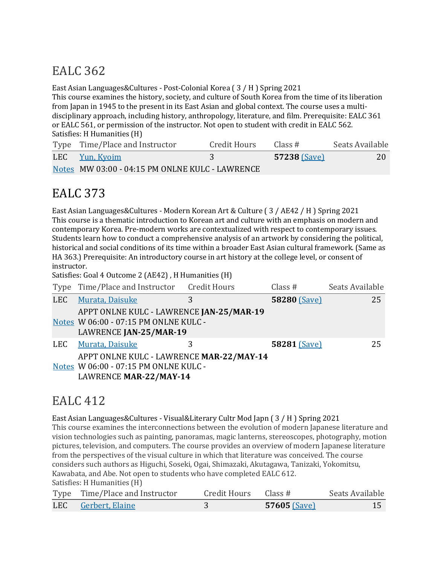East Asian Languages&Cultures - Post-Colonial Korea (3 / H ) Spring 2021

This course examines the history, society, and culture of South Korea from the time of its liberation from Japan in 1945 to the present in its East Asian and global context. The course uses a multidisciplinary approach, including history, anthropology, literature, and film. Prerequisite: EALC 361 or EALC 561, or permission of the instructor. Not open to student with credit in EALC 562. Satisfies: H Humanities (H)

| Type Time/Place and Instructor                  | Credit Hours | Class #        | Seats Available |
|-------------------------------------------------|--------------|----------------|-----------------|
| LEC Yun, Kyoim                                  |              | $57238$ (Save) | 20              |
| Notes MW 03:00 - 04:15 PM ONLNE KULC - LAWRENCE |              |                |                 |

## EALC 373

East Asian Languages&Cultures - Modern Korean Art & Culture (3 / AE42 / H) Spring 2021 This course is a thematic introduction to Korean art and culture with an emphasis on modern and contemporary Korea. Pre-modern works are contextualized with respect to contemporary issues. Students learn how to conduct a comprehensive analysis of an artwork by considering the political, historical and social conditions of its time within a broader East Asian cultural framework. (Same as HA 363.) Prerequisite: An introductory course in art history at the college level, or consent of instructor.

Satisfies: Goal 4 Outcome 2 (AE42), H Humanities (H)

|            | Type Time/Place and Instructor Credit Hours                                                                 |   | Class $#$           | Seats Available |
|------------|-------------------------------------------------------------------------------------------------------------|---|---------------------|-----------------|
| <b>LEC</b> | Murata, Daisuke                                                                                             | 3 | <b>58280 (Save)</b> | 25              |
|            | APPT ONLNE KULC - LAWRENCE JAN-25/MAR-19<br>Notes W 06:00 - 07:15 PM ONLNE KULC -<br>LAWRENCE JAN-25/MAR-19 |   |                     |                 |
| LEC        | Murata, Daisuke                                                                                             | 3 | 58281 (Save)        | 25              |
|            | APPT ONLNE KULC - LAWRENCE MAR-22/MAY-14<br>Notes W 06:00 - 07:15 PM ONLNE KULC -<br>LAWRENCE MAR-22/MAY-14 |   |                     |                 |

### EALC 412

East Asian Languages&Cultures - Visual&Literary Cultr Mod Japn  $(3/H)$  Spring 2021

This course examines the interconnections between the evolution of modern Japanese literature and vision technologies such as painting, panoramas, magic lanterns, stereoscopes, photography, motion pictures, television, and computers. The course provides an overview of modern Japanese literature from the perspectives of the visual culture in which that literature was conceived. The course considers such authors as Higuchi, Soseki, Ogai, Shimazaki, Akutagawa, Tanizaki, Yokomitsu, Kawabata, and Abe. Not open to students who have completed EALC 612.

Satisfies: H Humanities (H)

| Type Time/Place and Instructor | Credit Hours $\qquad$ Class # |              | Seats Available |
|--------------------------------|-------------------------------|--------------|-----------------|
| LEC Gerbert, Elaine            |                               | 57605 (Save) |                 |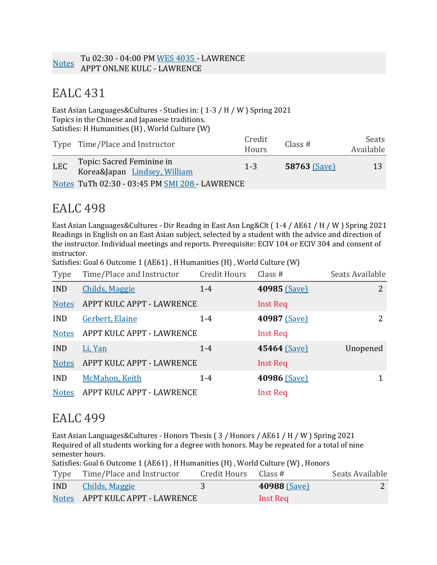East Asian Languages&Cultures - Studies in:  $(1-3 / H / W)$  Spring 2021 Topics in the Chinese and Japanese traditions. Satisfies: H Humanities (H), World Culture (W)

|            | Type Time/Place and Instructor                            | Credit<br>Hours | Class #             | Seats<br>Available |
|------------|-----------------------------------------------------------|-----------------|---------------------|--------------------|
| <b>LEC</b> | Topic: Sacred Feminine in<br>Korea&Japan Lindsey, William | $1 - 3$         | <b>58763 (Save)</b> | 13                 |
|            | Notes TuTh 02:30 - 03:45 PM SMI 208 - LAWRENCE            |                 |                     |                    |

## **EALC** 498

East Asian Languages&Cultures - Dir Readng in East Asn Lng&Clt (1-4 / AE61 / H / W) Spring 2021 Readings in English on an East Asian subject, selected by a student with the advice and direction of the instructor. Individual meetings and reports. Prerequisite: ECIV 104 or ECIV 304 and consent of instructor.

Satisfies: Goal 6 Outcome 1 (AE61), H Humanities (H), World Culture (W)

| Type         | Time/Place and Instructor | Credit Hours | Class $#$       | Seats Available |
|--------------|---------------------------|--------------|-----------------|-----------------|
| <b>IND</b>   | <b>Childs, Maggie</b>     | $1 - 4$      | 40985 (Save)    | 2               |
| <b>Notes</b> | APPT KULC APPT - LAWRENCE |              | <b>Inst Req</b> |                 |
| <b>IND</b>   | Gerbert, Elaine           | $1 - 4$      | 40987 (Save)    | 2               |
| <b>Notes</b> | APPT KULC APPT - LAWRENCE |              | <b>Inst Req</b> |                 |
| <b>IND</b>   | Li, Yan                   | $1-4$        | 45464 (Save)    | Unopened        |
| <b>Notes</b> | APPT KULC APPT - LAWRENCE |              | <b>Inst Req</b> |                 |
| <b>IND</b>   | McMahon, Keith            | $1 - 4$      | 40986 (Save)    | 1               |
| <b>Notes</b> | APPT KULC APPT - LAWRENCE |              | <b>Inst Req</b> |                 |

#### **EALC 499**

East Asian Languages&Cultures - Honors Thesis ( $3/$  Honors / AE61 / H / W ) Spring 2021 Required of all students working for a degree with honors. May be repeated for a total of nine semester hours.

Satisfies: Goal 6 Outcome 1 (AE61), H Humanities (H), World Culture (W), Honors

| Type Time/Place and Instructor  | Credit Hours $\;$ Class # |              | Seats Available |
|---------------------------------|---------------------------|--------------|-----------------|
| <b>IND</b> Childs, Maggie       |                           | 40988 (Save) |                 |
| Notes APPT KULC APPT - LAWRENCE |                           | Inst Req     |                 |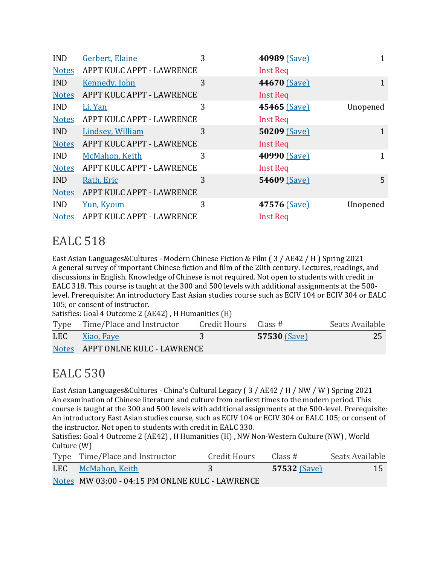| <b>IND</b>   | Gerbert, Elaine           | 3 | 40989 (Save)    | 1            |
|--------------|---------------------------|---|-----------------|--------------|
| <b>Notes</b> | APPT KULC APPT - LAWRENCE |   | <b>Inst Req</b> |              |
| <b>IND</b>   | <b>Kennedy, John</b>      | 3 | 44670 (Save)    | $\mathbf{1}$ |
| <b>Notes</b> | APPT KULC APPT - LAWRENCE |   | <b>Inst Req</b> |              |
| <b>IND</b>   | Li, Yan                   | 3 | 45465 (Save)    | Unopened     |
| <b>Notes</b> | APPT KULC APPT - LAWRENCE |   | <b>Inst Req</b> |              |
| <b>IND</b>   | <b>Lindsey, William</b>   | 3 | 50209 (Save)    | 1            |
| <b>Notes</b> | APPT KULC APPT - LAWRENCE |   | <b>Inst Req</b> |              |
| <b>IND</b>   | McMahon, Keith            | 3 | 40990 (Save)    | $\mathbf{1}$ |
| <b>Notes</b> | APPT KULC APPT - LAWRENCE |   | <b>Inst Req</b> |              |
| IND.         | Rath, Eric                | 3 | 54609 (Save)    | 5            |
| <b>Notes</b> | APPT KULC APPT - LAWRENCE |   |                 |              |
| <b>IND</b>   | Yun, Kyoim                | 3 | 47576 (Save)    | Unopened     |
| <b>Notes</b> | APPT KULC APPT - LAWRENCE |   | <b>Inst Req</b> |              |

East Asian Languages&Cultures - Modern Chinese Fiction & Film (3 / AE42 / H ) Spring 2021 A general survey of important Chinese fiction and film of the 20th century. Lectures, readings, and discussions in English. Knowledge of Chinese is not required. Not open to students with credit in EALC 318. This course is taught at the 300 and 500 levels with additional assignments at the 500level. Prerequisite: An introductory East Asian studies course such as ECIV 104 or ECIV 304 or EALC 105; or consent of instructor.

Satisfies: Goal 4 Outcome 2 (AE42), H Humanities (H)

|     | Type Time/Place and Instructor   | Credit Hours Class # |                     | Seats Available |
|-----|----------------------------------|----------------------|---------------------|-----------------|
| LEC | Xiao, Faye                       |                      | <b>57530 (Save)</b> | 25              |
|     | Notes APPT ONLNE KULC - LAWRENCE |                      |                     |                 |

### **EALC** 530

East Asian Languages&Cultures - China's Cultural Legacy (3 / AE42 / H / NW / W ) Spring 2021 An examination of Chinese literature and culture from earliest times to the modern period. This course is taught at the 300 and 500 levels with additional assignments at the 500-level. Prerequisite: An introductory East Asian studies course, such as ECIV 104 or ECIV 304 or EALC 105; or consent of the instructor. Not open to students with credit in EALC 330.

Satisfies: Goal 4 Outcome 2 (AE42), H Humanities (H), NW Non-Western Culture (NW), World Culture  $(W)$ 

| Type Time/Place and Instructor                  | Credit Hours | Class #        | Seats Available |
|-------------------------------------------------|--------------|----------------|-----------------|
| LEC McMahon, Keith                              | 3            | $57532$ (Save) | 15              |
| Notes MW 03:00 - 04:15 PM ONLNE KULC - LAWRENCE |              |                |                 |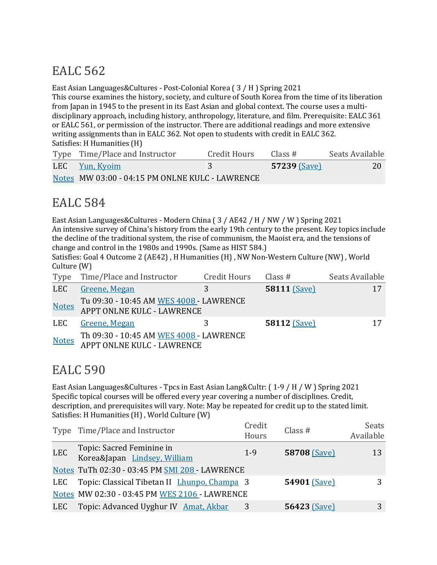East Asian Languages&Cultures - Post-Colonial Korea  $(3/H)$  Spring 2021

This course examines the history, society, and culture of South Korea from the time of its liberation from Japan in 1945 to the present in its East Asian and global context. The course uses a multidisciplinary approach, including history, anthropology, literature, and film. Prerequisite: EALC 361 or EALC 561, or permission of the instructor. There are additional readings and more extensive writing assignments than in EALC 362. Not open to students with credit in EALC 362. Satisfies: H Humanities (H)

| Type Time/Place and Instructor                  | Credit Hours | Class #             | Seats Available |
|-------------------------------------------------|--------------|---------------------|-----------------|
| LEC Yun, Kyoim                                  |              | <b>57239 (Save)</b> | 20              |
| Notes MW 03:00 - 04:15 PM ONLNE KULC - LAWRENCE |              |                     |                 |

## EALC 584

East Asian Languages&Cultures - Modern China (3 / AE42 / H / NW / W ) Spring 2021 An intensive survey of China's history from the early 19th century to the present. Key topics include the decline of the traditional system, the rise of communism, the Maoist era, and the tensions of change and control in the 1980s and 1990s. (Same as HIST 584.)

Satisfies: Goal 4 Outcome 2 (AE42), H Humanities (H), NW Non-Western Culture (NW), World Culture  $(W)$ 

| Type         | Time/Place and Instructor                                                   | Credit Hours | Class #             | Seats Available |
|--------------|-----------------------------------------------------------------------------|--------------|---------------------|-----------------|
| <b>LEC</b>   | Greene, Megan                                                               | 3            | <b>58111 (Save)</b> |                 |
| <b>Notes</b> | Tu 09:30 - 10:45 AM WES 4008 - LAWRENCE<br>APPT ONLNE KULC - LAWRENCE       |              |                     |                 |
| LEC          | Greene, Megan                                                               |              | <b>58112 (Save)</b> |                 |
|              | Th 09:30 - 10:45 AM WES 4008 - LAWRENCE<br>Notes APPT ONLNE KULC - LAWRENCE |              |                     |                 |

### EALC 590

East Asian Languages&Cultures - Tpcs in East Asian Lang&Cultr:  $(1-9/H/W)$  Spring 2021 Specific topical courses will be offered every year covering a number of disciplines. Credit, description, and prerequisites will vary. Note: May be repeated for credit up to the stated limit. Satisfies: H Humanities (H), World Culture (W)

|            | Type Time/Place and Instructor                            | Credit<br>Hours | Class $#$           | Seats<br>Available |
|------------|-----------------------------------------------------------|-----------------|---------------------|--------------------|
| <b>LEC</b> | Topic: Sacred Feminine in<br>Korea&Japan Lindsey, William | $1 - 9$         | 58708 (Save)        | 13                 |
|            | Notes TuTh 02:30 - 03:45 PM SMI 208 - LAWRENCE            |                 |                     |                    |
| LEC        | Topic: Classical Tibetan II Lhunpo, Champa 3              |                 | 54901 (Save)        |                    |
|            | Notes MW 02:30 - 03:45 PM WES 2106 - LAWRENCE             |                 |                     |                    |
|            | LEC Topic: Advanced Uyghur IV Amat, Akbar                 |                 | <b>56423 (Save)</b> |                    |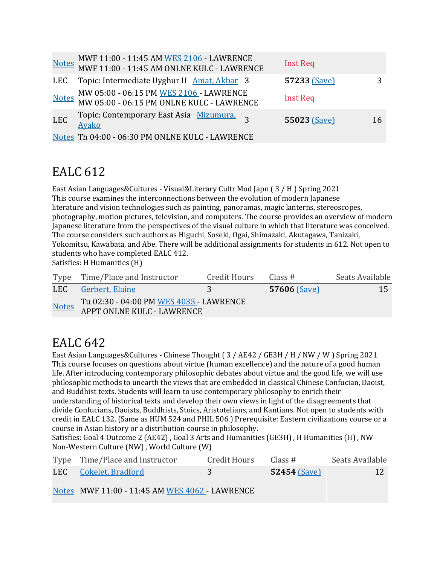|            | MWF 11:00 - 11:45 AM WES 2106 - LAWRENCE<br>MWF 11:00 - 11:45 AM ONLNE KULC - LAWRENCE | Inst Req     |    |
|------------|----------------------------------------------------------------------------------------|--------------|----|
| LEC        | Topic: Intermediate Uyghur II Amat, Akbar 3                                            | 57233 (Save) | 3  |
|            | MW 05:00 - 06:15 PM WES 2106 - LAWRENCE<br>MW 05:00 - 06:15 PM ONLNE KULC - LAWRENCE   | Inst Req     |    |
| <b>LEC</b> | Topic: Contemporary East Asia Mizumura, 3<br>Ayako                                     | 55023 (Save) | 16 |
|            | Notes Th 04:00 - 06:30 PM ONLNE KULC - LAWRENCE                                        |              |    |

East Asian Languages&Cultures - Visual&Literary Cultr Mod Japn  $(3/H)$  Spring 2021 This course examines the interconnections between the evolution of modern Japanese literature and vision technologies such as painting, panoramas, magic lanterns, stereoscopes, photography, motion pictures, television, and computers. The course provides an overview of modern Japanese literature from the perspectives of the visual culture in which that literature was conceived. The course considers such authors as Higuchi, Soseki, Ogai, Shimazaki, Akutagawa, Tanizaki, Yokomitsu, Kawabata, and Abe. There will be additional assignments for students in 612. Not open to students who have completed EALC 412.

Satisfies: H Humanities (H)

|              | Type Time/Place and Instructor                                               | Credit Hours | Class #             | Seats Available |
|--------------|------------------------------------------------------------------------------|--------------|---------------------|-----------------|
|              | LEC Gerbert, Elaine                                                          |              | <b>57606 (Save)</b> | 15              |
| <b>Notes</b> | Tu 02:30 - 04:00 PM <u>WES 4035 -</u> LAWRENCE<br>APPT ONLNE KULC - LAWRENCE |              |                     |                 |

### **EALC** 642

East Asian Languages&Cultures - Chinese Thought ( $3$  / AE42 / GE3H / H / NW / W ) Spring 2021 This course focuses on questions about virtue (human excellence) and the nature of a good human life. After introducing contemporary philosophic debates about virtue and the good life, we will use philosophic methods to unearth the views that are embedded in classical Chinese Confucian, Daoist, and Buddhist texts. Students will learn to use contemporary philosophy to enrich their understanding of historical texts and develop their own views in light of the disagreements that divide Confucians, Daoists, Buddhists, Stoics, Aristotelians, and Kantians. Not open to students with credit in EALC 132. (Same as HUM 524 and PHIL 506.) Prerequisite: Eastern civilizations course or a course in Asian history or a distribution course in philosophy.

Satisfies: Goal 4 Outcome 2 (AE42), Goal 3 Arts and Humanities (GE3H), H Humanities (H), NW Non-Western Culture (NW), World Culture (W)

| Type Time/Place and Instructor | Credit Hours | Class #        | Seats Available |
|--------------------------------|--------------|----------------|-----------------|
| LEC Cokelet, Bradford          |              | $52454$ (Save) |                 |

Notes MWF 11:00 - 11:45 AM WES 4062 - LAWRENCE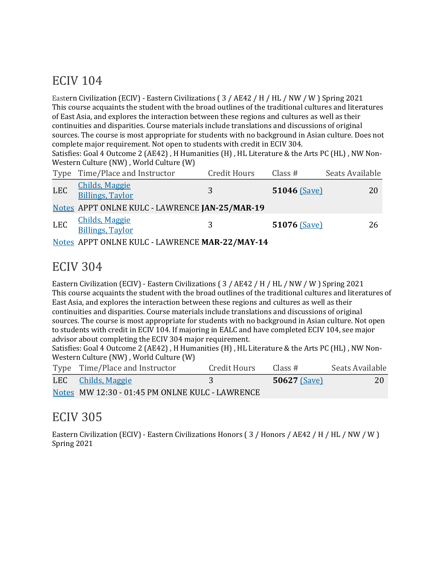### **ECIV 104**

Eastern Civilization (ECIV) - Eastern Civilizations (3 / AE42 / H / HL / NW / W ) Spring 2021 This course acquaints the student with the broad outlines of the traditional cultures and literatures of East Asia, and explores the interaction between these regions and cultures as well as their continuities and disparities. Course materials include translations and discussions of original sources. The course is most appropriate for students with no background in Asian culture. Does not complete major requirement. Not open to students with credit in ECIV 304. Satisfies: Goal 4 Outcome 2 (AE42), H Humanities (H), HL Literature & the Arts PC (HL), NW Non-Western Culture (NW), World Culture (W) Type Time/Place and Instructor Credit Hours Class # Seats Available

| <b>LEC</b>                                                                              | <b>Childs, Maggie</b><br><b>Billings, Taylor</b> | 3                                                                   | $51046$ (Save) | 20 |
|-----------------------------------------------------------------------------------------|--------------------------------------------------|---------------------------------------------------------------------|----------------|----|
|                                                                                         |                                                  | Notes APPT ONLNE KULC - LAWRENCE JAN-25/MAR-19                      |                |    |
| LEC                                                                                     | <b>Childs, Maggie</b><br><b>Billings, Taylor</b> | २                                                                   | 51076 (Save)   | 26 |
| $\mathbf{X}$ , $\mathbf{Y}$ , $\mathbf{Y}$ , $\mathbf{Y}$ , $\mathbf{Y}$ , $\mathbf{Y}$ |                                                  | $\lambda$ ppm out ut this quite superior as a distance of $\lambda$ |                |    |

Notes APPT ONLNE KULC - LAWRENCE **MAR-22/MAY-14**

### ECIV 304

Eastern Civilization (ECIV) - Eastern Civilizations ( $3$  / AE42 / H / HL / NW / W ) Spring 2021 This course acquaints the student with the broad outlines of the traditional cultures and literatures of East Asia, and explores the interaction between these regions and cultures as well as their continuities and disparities. Course materials include translations and discussions of original sources. The course is most appropriate for students with no background in Asian culture. Not open to students with credit in ECIV 104. If majoring in EALC and have completed ECIV 104, see major advisor about completing the ECIV 304 major requirement.

Satisfies: Goal 4 Outcome 2 (AE42), H Humanities (H), HL Literature & the Arts PC (HL), NW Non-Western Culture (NW), World Culture (W)

| Type Time/Place and Instructor                  | Credit Hours | Class #             | Seats Available |
|-------------------------------------------------|--------------|---------------------|-----------------|
| LEC Childs, Maggie                              |              | <b>50627</b> (Save) | 20              |
| Notes MW 12:30 - 01:45 PM ONLNE KULC - LAWRENCE |              |                     |                 |

### ECIV 305

Eastern Civilization (ECIV) - Eastern Civilizations Honors ( $3/$  Honors / AE42 / H / HL / NW / W ) Spring 2021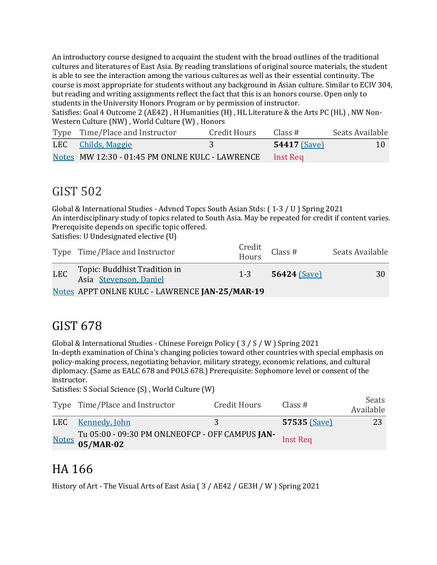An introductory course designed to acquaint the student with the broad outlines of the traditional cultures and literatures of East Asia. By reading translations of original source materials, the student is able to see the interaction among the various cultures as well as their essential continuity. The course is most appropriate for students without any background in Asian culture. Similar to ECIV 304, but reading and writing assignments reflect the fact that this is an honors course. Open only to students in the University Honors Program or by permission of instructor.

Satisfies: Goal 4 Outcome 2 (AE42), H Humanities (H), HL Literature & the Arts PC (HL), NW Non-Western Culture (NW), World Culture (W), Honors

| Type Time/Place and Instructor                           | Credit Hours | Class #        | Seats Available |
|----------------------------------------------------------|--------------|----------------|-----------------|
| LEC Childs, Maggie                                       | -3           | $54417$ (Save) | <b>10</b>       |
| Notes MW 12:30 - 01:45 PM ONLNE KULC - LAWRENCE Inst Req |              |                |                 |

### GIST 502

Global & International Studies - Advncd Topcs South Asian Stds:  $(1-3/0)$  Spring 2021 An interdisciplinary study of topics related to South Asia. May be repeated for credit if content varies. Prerequisite depends on specific topic offered.

Satisfies: U Undesignated elective (U)

|     | Type Time/Place and Instructor                         | Credit<br>Hours | Class #        | Seats Available |
|-----|--------------------------------------------------------|-----------------|----------------|-----------------|
| LEC | Topic: Buddhist Tradition in<br>Asia Stevenson, Daniel | $1 - 3$         | $56424$ (Save) | 30              |
|     | Notes APPT ONLNE KULC - LAWRENCE JAN-25/MAR-19         |                 |                |                 |

### GIST 678

Global & International Studies - Chinese Foreign Policy ( $3 / S / W$ ) Spring 2021

In-depth examination of China's changing policies toward other countries with special emphasis on policy-making process, negotiating behavior, military strategy, economic relations, and cultural diplomacy. (Same as EALC 678 and POLS 678.) Prerequisite: Sophomore level or consent of the instructor.

Satisfies: S Social Science (S), World Culture (W)

| Type Time/Place and Instructor                                     | Credit Hours | Class #      | Seats<br>Available |
|--------------------------------------------------------------------|--------------|--------------|--------------------|
| LEC Kennedy, John                                                  | 3.           | 57535 (Save) | 23                 |
| Notes Tu 05:00 - 09:30 PM ONLNEOFCP - OFF CAMPUS JAN-<br>05/MAR-02 |              |              |                    |

### HA 166

History of Art - The Visual Arts of East Asia (3 / AE42 / GE3H / W ) Spring 2021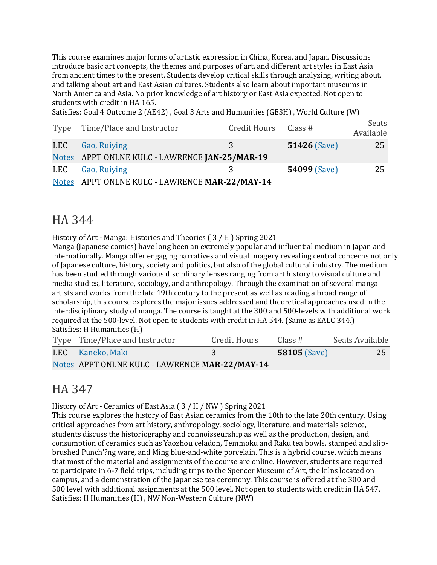This course examines major forms of artistic expression in China, Korea, and Japan. Discussions introduce basic art concepts, the themes and purposes of art, and different art styles in East Asia from ancient times to the present. Students develop critical skills through analyzing, writing about, and talking about art and East Asian cultures. Students also learn about important museums in North America and Asia. No prior knowledge of art history or East Asia expected. Not open to students with credit in HA 165.

Satisfies: Goal 4 Outcome 2 (AE42), Goal 3 Arts and Humanities (GE3H), World Culture (W)

| Type | Time/Place and Instructor                      | Credit Hours Class # |                | Seats<br>Available |
|------|------------------------------------------------|----------------------|----------------|--------------------|
| LEC  | <b>Gao, Ruiving</b>                            | 3                    | $51426$ (Save) | 25                 |
|      | Notes APPT ONLNE KULC - LAWRENCE JAN-25/MAR-19 |                      |                |                    |
| LEC  | Gao, Ruiying                                   | 3                    | 54099 (Save)   | 25                 |
|      | Notes APPT ONLNE KULC - LAWRENCE MAR-22/MAY-14 |                      |                |                    |

#### HA 344

History of Art - Manga: Histories and Theories  $(3/H)$  Spring 2021

Manga (Japanese comics) have long been an extremely popular and influential medium in Japan and internationally. Manga offer engaging narratives and visual imagery revealing central concerns not only of Japanese culture, history, society and politics, but also of the global cultural industry. The medium has been studied through various disciplinary lenses ranging from art history to visual culture and media studies, literature, sociology, and anthropology. Through the examination of several manga artists and works from the late 19th century to the present as well as reading a broad range of scholarship, this course explores the major issues addressed and theoretical approaches used in the interdisciplinary study of manga. The course is taught at the 300 and 500-levels with additional work required at the 500-level. Not open to students with credit in HA 544. (Same as EALC 344.) Satisfies: H Humanities (H)

| Type Time/Place and Instructor                 | Credit Hours | Class#         | Seats Available |
|------------------------------------------------|--------------|----------------|-----------------|
| LEC Kaneko, Maki                               |              | $58105$ (Save) | 25              |
| Notes APPT ONLNE KULC - LAWRENCE MAR-22/MAY-14 |              |                |                 |

### HA 347

History of Art - Ceramics of East Asia  $(3/H/NW)$  Spring 2021

This course explores the history of East Asian ceramics from the 10th to the late 20th century. Using critical approaches from art history, anthropology, sociology, literature, and materials science, students discuss the historiography and connoisseurship as well as the production, design, and consumption of ceramics such as Yaozhou celadon, Temmoku and Raku tea bowls, stamped and slipbrushed Punch'?ng ware, and Ming blue-and-white porcelain. This is a hybrid course, which means that most of the material and assignments of the course are online. However, students are required to participate in 6-7 field trips, including trips to the Spencer Museum of Art, the kilns located on campus, and a demonstration of the Japanese tea ceremony. This course is offered at the 300 and 500 level with additional assignments at the 500 level. Not open to students with credit in HA 547. Satisfies: H Humanities (H), NW Non-Western Culture (NW)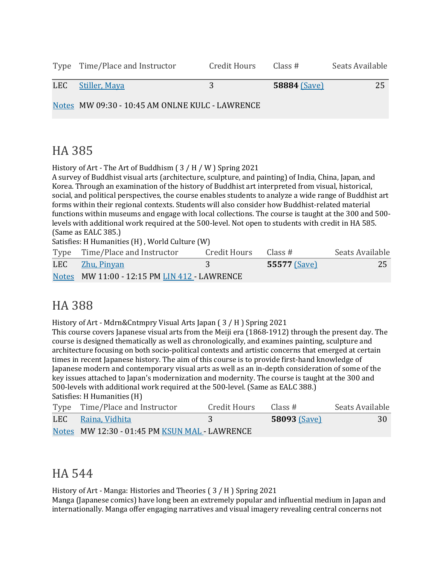| Type Time/Place and Instructor                  | Credit Hours | Class #             | Seats Available |
|-------------------------------------------------|--------------|---------------------|-----------------|
| LEC Stiller, Maya                               | 3            | <b>58884 (Save)</b> | 25              |
| Notes MW 09:30 - 10:45 AM ONLNE KULC - LAWRENCE |              |                     |                 |

### HA 385

History of Art - The Art of Buddhism ( $3/H/W$ ) Spring 2021

A survey of Buddhist visual arts (architecture, sculpture, and painting) of India, China, Japan, and Korea. Through an examination of the history of Buddhist art interpreted from visual, historical, social, and political perspectives, the course enables students to analyze a wide range of Buddhist art forms within their regional contexts. Students will also consider how Buddhist-related material functions within museums and engage with local collections. The course is taught at the 300 and 500levels with additional work required at the 500-level. Not open to students with credit in HA 585. (Same as EALC 385.)

Satisfies: H Humanities (H), World Culture (W)

| Type Time/Place and Instructor               | Credit Hours Class # |              | Seats Available |
|----------------------------------------------|----------------------|--------------|-----------------|
| LEC Zhu, Pinyan                              |                      | 55577 (Save) | 25              |
| Notes MW 11:00 - 12:15 PM LIN 412 - LAWRENCE |                      |              |                 |

### HA 388

History of Art - Mdrn&Cntmpry Visual Arts Japan  $(3/H)$  Spring 2021

This course covers Japanese visual arts from the Meiji era (1868-1912) through the present day. The course is designed thematically as well as chronologically, and examines painting, sculpture and architecture focusing on both socio-political contexts and artistic concerns that emerged at certain times in recent Japanese history. The aim of this course is to provide first-hand knowledge of Japanese modern and contemporary visual arts as well as an in-depth consideration of some of the key issues attached to Japan's modernization and modernity. The course is taught at the 300 and 500-levels with additional work required at the 500-level. (Same as EALC 388.) Satisfies: H Humanities (H)

| Type Time/Place and Instructor              | Credit Hours | Class #      | Seats Available |
|---------------------------------------------|--------------|--------------|-----------------|
| LEC Raina, Vidhita                          |              | 58093 (Save) | 30              |
| Notes MW 12:30 - 01:45 PM KSUN MAL LAWRENCE |              |              |                 |

### HA 544

History of Art - Manga: Histories and Theories (3 / H ) Spring 2021

Manga (Japanese comics) have long been an extremely popular and influential medium in Japan and internationally. Manga offer engaging narratives and visual imagery revealing central concerns not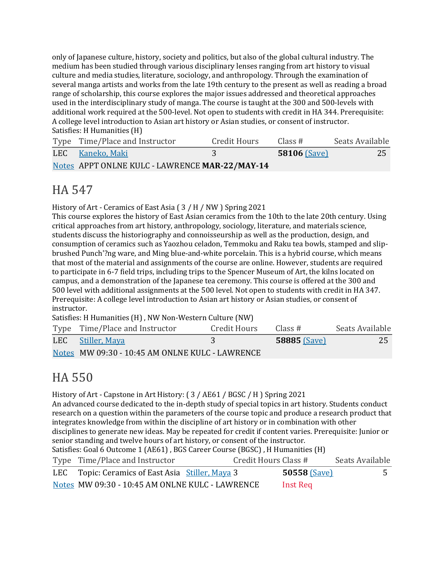only of Japanese culture, history, society and politics, but also of the global cultural industry. The medium has been studied through various disciplinary lenses ranging from art history to visual culture and media studies, literature, sociology, and anthropology. Through the examination of several manga artists and works from the late 19th century to the present as well as reading a broad range of scholarship, this course explores the major issues addressed and theoretical approaches used in the interdisciplinary study of manga. The course is taught at the 300 and 500-levels with additional work required at the 500-level. Not open to students with credit in HA 344. Prerequisite: A college level introduction to Asian art history or Asian studies, or consent of instructor. Satisfies: H Humanities (H)

| Type Time/Place and Instructor                 | Credit Hours | Class #        | Seats Available |
|------------------------------------------------|--------------|----------------|-----------------|
| LEC Kaneko, Maki                               |              | $58106$ (Save) | 25              |
| Notes APPT ONLNE KULC - LAWRENCE MAR-22/MAY-14 |              |                |                 |

### HA 547

History of Art - Ceramics of East Asia ( $3/$  H / NW ) Spring 2021

This course explores the history of East Asian ceramics from the 10th to the late 20th century. Using critical approaches from art history, anthropology, sociology, literature, and materials science, students discuss the historiography and connoisseurship as well as the production, design, and consumption of ceramics such as Yaozhou celadon, Temmoku and Raku tea bowls, stamped and slipbrushed Punch'?ng ware, and Ming blue-and-white porcelain. This is a hybrid course, which means that most of the material and assignments of the course are online. However, students are required to participate in 6-7 field trips, including trips to the Spencer Museum of Art, the kilns located on campus, and a demonstration of the Japanese tea ceremony. This course is offered at the 300 and 500 level with additional assignments at the 500 level. Not open to students with credit in HA 347. Prerequisite: A college level introduction to Asian art history or Asian studies, or consent of instructor.

Satisfies: H Humanities (H), NW Non-Western Culture (NW)

| Type Time/Place and Instructor                  | Credit Hours | Class #             | Seats Available |
|-------------------------------------------------|--------------|---------------------|-----------------|
| LEC Stiller, Maya                               |              | <b>58885 (Save)</b> | <b>25</b>       |
| Notes MW 09:30 - 10:45 AM ONLNE KULC - LAWRENCE |              |                     |                 |

### HA 550

History of Art - Capstone in Art History: ( $3$  / AE61 / BGSC / H ) Spring 2021

An advanced course dedicated to the in-depth study of special topics in art history. Students conduct research on a question within the parameters of the course topic and produce a research product that integrates knowledge from within the discipline of art history or in combination with other disciplines to generate new ideas. May be repeated for credit if content varies. Prerequisite: Junior or senior standing and twelve hours of art history, or consent of the instructor.

Satisfies: Goal 6 Outcome 1 (AE61), BGS Career Course (BGSC), H Humanities (H)

| Type Time/Place and Instructor                   | Credit Hours Class # |                | Seats Available |
|--------------------------------------------------|----------------------|----------------|-----------------|
| LEC Topic: Ceramics of East Asia Stiller, Maya 3 |                      | $50558$ (Save) | 5               |
| Notes MW 09:30 - 10:45 AM ONLNE KULC - LAWRENCE  |                      | Inst Req       |                 |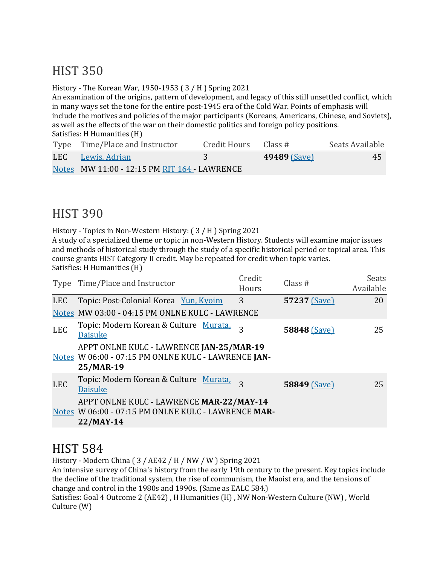### **HIST 350**

History - The Korean War, 1950-1953 ( $3/$  H ) Spring 2021

An examination of the origins, pattern of development, and legacy of this still unsettled conflict, which in many ways set the tone for the entire post-1945 era of the Cold War. Points of emphasis will include the motives and policies of the major participants (Koreans, Americans, Chinese, and Soviets), as well as the effects of the war on their domestic politics and foreign policy positions. Satisfies: H Humanities (H)

| Type Time/Place and Instructor               | Credit Hours | Class #             | Seats Available |
|----------------------------------------------|--------------|---------------------|-----------------|
| LEC Lewis, Adrian                            |              | <b>49489 (Save)</b> | 45              |
| Notes MW 11:00 - 12:15 PM RIT 164 - LAWRENCE |              |                     |                 |

#### **HIST 390**

History - Topics in Non-Western History: (3/H) Spring 2021

A study of a specialized theme or topic in non-Western History. Students will examine major issues and methods of historical study through the study of a specific historical period or topical area. This course grants HIST Category II credit. May be repeated for credit when topic varies.

Satisfies: H Humanities (H)

|            | Type Time/Place and Instructor                                                                               | Credit<br>Hours | Class $#$    | Seats<br>Available |
|------------|--------------------------------------------------------------------------------------------------------------|-----------------|--------------|--------------------|
| LEC        | Topic: Post-Colonial Korea Yun, Kyoim                                                                        | 3               | 57237 (Save) | 20                 |
|            | Notes MW 03:00 - 04:15 PM ONLNE KULC - LAWRENCE                                                              |                 |              |                    |
| <b>LEC</b> | Topic: Modern Korean & Culture Murata,<br><b>Daisuke</b>                                                     | 3               | 58848 (Save) | 25                 |
|            | APPT ONLNE KULC - LAWRENCE JAN-25/MAR-19<br>Notes W 06:00 - 07:15 PM ONLNE KULC - LAWRENCE JAN-<br>25/MAR-19 |                 |              |                    |
| <b>LEC</b> | Topic: Modern Korean & Culture Murata,<br><b>Daisuke</b>                                                     | 3               | 58849 (Save) | 25                 |
|            | APPT ONLNE KULC - LAWRENCE MAR-22/MAY-14<br>Notes W 06:00 - 07:15 PM ONLNE KULC - LAWRENCE MAR-<br>22/MAY-14 |                 |              |                    |

### **HIST 584**

History - Modern China  $(3 / AE42 / H / NW / W)$  Spring 2021

An intensive survey of China's history from the early 19th century to the present. Key topics include the decline of the traditional system, the rise of communism, the Maoist era, and the tensions of change and control in the 1980s and 1990s. (Same as EALC 584.)

Satisfies: Goal 4 Outcome 2 (AE42), H Humanities (H), NW Non-Western Culture (NW), World Culture (W)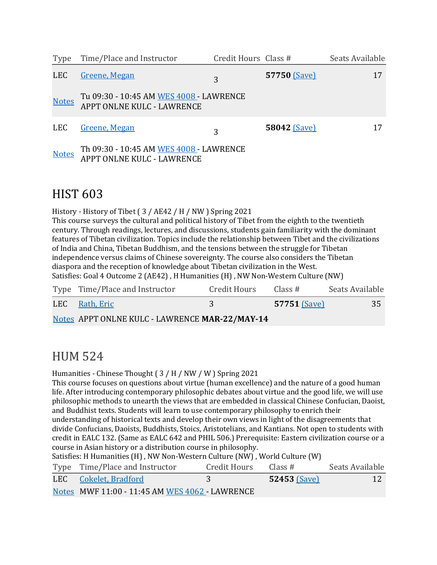| Type         | Time/Place and Instructor                                             | Credit Hours Class # |                     | Seats Available |
|--------------|-----------------------------------------------------------------------|----------------------|---------------------|-----------------|
| <b>LEC</b>   | Greene, Megan                                                         | 3                    | 57750 (Save)        | 17              |
| <b>Notes</b> | Tu 09:30 - 10:45 AM WES 4008 - LAWRENCE<br>APPT ONLNE KULC - LAWRENCE |                      |                     |                 |
| <b>LEC</b>   | Greene, Megan                                                         | 3                    | <b>58042 (Save)</b> | 17              |
| <b>Notes</b> | Th 09:30 - 10:45 AM WES 4008 - LAWRENCE<br>APPT ONLNE KULC - LAWRENCE |                      |                     |                 |

#### **HIST 603**

History - History of Tibet ( $3$  / AE42 / H / NW ) Spring 2021

This course surveys the cultural and political history of Tibet from the eighth to the twentieth century. Through readings, lectures, and discussions, students gain familiarity with the dominant features of Tibetan civilization. Topics include the relationship between Tibet and the civilizations of India and China, Tibetan Buddhism, and the tensions between the struggle for Tibetan independence versus claims of Chinese sovereignty. The course also considers the Tibetan diaspora and the reception of knowledge about Tibetan civilization in the West. Satisfies: Goal 4 Outcome 2 (AE42), H Humanities (H), NW Non-Western Culture (NW)

| Type Time/Place and Instructor                 | Credit Hours | Class #             | Seats Available |
|------------------------------------------------|--------------|---------------------|-----------------|
| LEC Rath, Eric                                 |              | <b>57751 (Save)</b> | 35              |
| Notes APPT ONLNE KULC - LAWRENCE MAR-22/MAY-14 |              |                     |                 |

### HUM 524

Humanities - Chinese Thought  $(3/H/NW/W)$  Spring 2021

This course focuses on questions about virtue (human excellence) and the nature of a good human life. After introducing contemporary philosophic debates about virtue and the good life, we will use philosophic methods to unearth the views that are embedded in classical Chinese Confucian, Daoist, and Buddhist texts. Students will learn to use contemporary philosophy to enrich their

understanding of historical texts and develop their own views in light of the disagreements that divide Confucians, Daoists, Buddhists, Stoics, Aristotelians, and Kantians. Not open to students with credit in EALC 132. (Same as EALC 642 and PHIL 506.) Prerequisite: Eastern civilization course or a course in Asian history or a distribution course in philosophy.

| Satisfies: H Humanities (H), NW Non-Western Culture (NW), World Culture (W) |                                                |              |                     |                 |
|-----------------------------------------------------------------------------|------------------------------------------------|--------------|---------------------|-----------------|
|                                                                             | Type Time/Place and Instructor                 | Credit Hours | Class #             | Seats Available |
|                                                                             | LEC Cokelet, Bradford                          | 37           | <b>52453 (Save)</b> | 12              |
|                                                                             | Notes MWF 11:00 - 11:45 AM WES 4062 - LAWRENCE |              |                     |                 |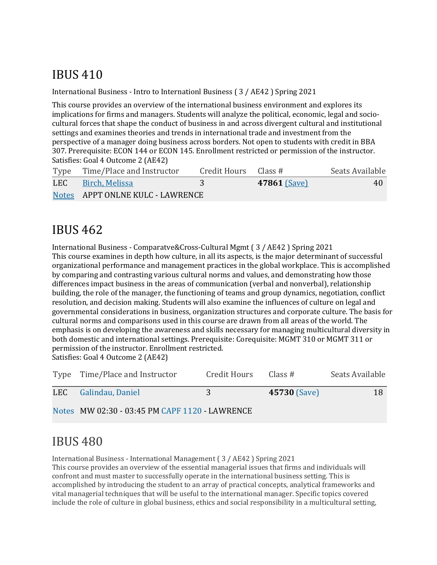# IBUS 410

International Business - Intro to Internationl Business ( $3$  / AE42 ) Spring 2021

This course provides an overview of the international business environment and explores its implications for firms and managers. Students will analyze the political, economic, legal and sociocultural forces that shape the conduct of business in and across divergent cultural and institutional settings and examines theories and trends in international trade and investment from the perspective of a manager doing business across borders. Not open to students with credit in BBA 307. Prerequisite: ECON 144 or ECON 145. Enrollment restricted or permission of the instructor. Satisfies: Goal 4 Outcome 2 (AE42)

|     | Type Time/Place and Instructor   | Credit Hours Class $#$ |                     | Seats Available |
|-----|----------------------------------|------------------------|---------------------|-----------------|
| LEC | Birch, Melissa                   |                        | <b>47861 (Save)</b> | 40              |
|     | Notes APPT ONLNE KULC - LAWRENCE |                        |                     |                 |

### IBUS 462

International Business - Comparatve&Cross-Cultural Mgmt (3 / AE42 ) Spring 2021 This course examines in depth how culture, in all its aspects, is the major determinant of successful organizational performance and management practices in the global workplace. This is accomplished by comparing and contrasting various cultural norms and values, and demonstrating how those differences impact business in the areas of communication (verbal and nonverbal), relationship building, the role of the manager, the functioning of teams and group dynamics, negotiation, conflict resolution, and decision making. Students will also examine the influences of culture on legal and governmental considerations in business, organization structures and corporate culture. The basis for cultural norms and comparisons used in this course are drawn from all areas of the world. The emphasis is on developing the awareness and skills necessary for managing multicultural diversity in both domestic and international settings. Prerequisite: Corequisite: MGMT 310 or MGMT 311 or permission of the instructor. Enrollment restricted. Satisfies: Goal 4 Outcome 2 (AE42)

Type Time/Place and Instructor Credit Hours Class # Seats Available LEC Galindau, Daniel 3 **45730** (Save) 18 Notes MW 02:30 - 03:45 PM CAPF 1120 - LAWRENCE

### IBUS 480

International Business - International Management (3 / AE42 ) Spring 2021 This course provides an overview of the essential managerial issues that firms and individuals will confront and must master to successfully operate in the international business setting. This is accomplished by introducing the student to an array of practical concepts, analytical frameworks and vital managerial techniques that will be useful to the international manager. Specific topics covered include the role of culture in global business, ethics and social responsibility in a multicultural setting,